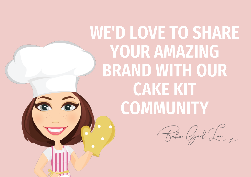# WE'D LOVE TO SHARE YOUR AMAZING BRAND WITH OUR CAKE KIT **COMMUNITY**

**G a** 

Baker Grod Low x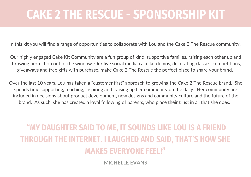## CAKE 2 THE RESCUE - SPONSORSHIP KIT

In this kit you will find a range of opportunities to collaborate with Lou and the Cake 2 The Rescue community.

Our highly engaged Cake Kit Community are a fun group of kind, supportive families, raising each other up and throwing perfection out of the window. Our live social media cake kit demos, decorating classes, competitions, giveaways and free gifts with purchase, make Cake 2 The Rescue the perfect place to share your brand.

Over the last 10 years, Lou has taken a "customer first" approach to growing the Cake 2 The Rescue brand. She spends time supporting, teaching, inspiring and raising up her community on the daily. Her community are included in decisions about product development, new designs and community culture and the future of the brand. As such, she has created a loyal following of parents, who place their trust in all that she does.

### "MY DAUGHTER SAID TO ME, IT SOUNDS LIKE LOU IS A FRIEND THROUGH THE INTERNET. I LAUGHED AND SAID, THAT'S HOW SHE MAKES EVERYONE FEEL!"

**MICHELLE EVANS**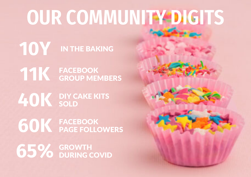# OUR COMMUNITY DIGITS

IN THE BAKING **10Y**

FACEBOOK GROUP MEMBERS **11K**

DIY CAKE KITS SOLD **40K**

FACEBOOK PAGE FOLLOWERS **60K**

**65%** GROWTH DURING COVID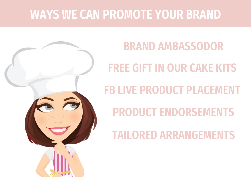## WAYS WE CAN PROMOTE YOUR BRAND



# FREE GIFT IN OUR CAKE KITS FB LIVE PRODUCT PLACEMENT BRAND AMBASSODOR

PRODUCT ENDORSEMENTS

TAILORED ARRANGEMENTS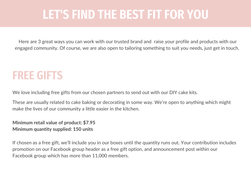### LET'S FIND THE BEST FIT FOR YOU

Here are 3 great ways you can work with our trusted brand and raise your profile and products with our engaged community. Of course, we are also open to tailoring something to suit you needs, just get in touch.

### FREE GIFTS

We love including free gifts from our chosen partners to send out with our DIY cake kits.

These are usually related to cake baking or decorating in some way. We're open to anything which might make the lives of our community a little easier in the kitchen.

#### **Minimum retail value of product: \$7.95 Minimum quantity supplied: 150 units**

If chosen as a free gift, we'll include you in our boxes until the quantity runs out. Your contribution includes promotion on our Facebook group header as a free gift option, and announcement post within our Facebook group which has more than 11,000 members.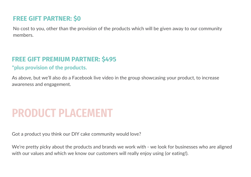### **FREE GIFT PARTNER: \$0**

No cost to you, other than the provision of the products which will be given away to our community members.

### **FREE GIFT PREMIUM PARTNER: \$495**

#### \*plus provision of the products.

As above, but we'll also do a Facebook live video in the group showcasing your product, to increase awareness and engagement.

### PRODUCT PLACEMENT

Got a product you think our DIY cake community would love?

We're pretty picky about the products and brands we work with - we look for businesses who are aligned with our values and which we know our customers will really enjoy using (or eating!).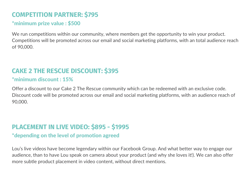### **COMPETITION PARTNER: \$795**

#### \*minimum prize value : \$500

We run competitions within our community, where members get the opportunity to win your product. Competitions will be promoted across our email and social marketing platforms, with an total audience reach of 90,000.

#### **CAKE 2 THE RESCUE DISCOUNT: \$395**

#### \*minimum discount : 15%

Offer a discount to our Cake 2 The Rescue community which can be redeemed with an exclusive code. Discount code will be promoted across our email and social marketing platforms, with an audience reach of 90,000.

#### **PLACEMENT IN LIVE VIDEO: \$895 - \$1995**

#### \*depending on the level of promotion agreed

Lou's live videos have become legendary within our Facebook Group. And what better way to engage our audience, than to have Lou speak on camera about your product (and why she loves it!). We can also offer more subtle product placement in video content, without direct mentions.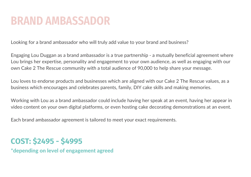### BRAND AMBASSADOR

Looking for a brand ambassador who will truly add value to your brand and business?

Engaging Lou Duggan as a brand ambassador is a true partnership - a mutually beneficial agreement where Lou brings her expertise, personality and engagement to your own audience, as well as engaging with our own Cake 2 The Rescue community with a total audience of 90,000 to help share your message.

Lou loves to endorse products and businesses which are aligned with our Cake 2 The Rescue values, as a business which encourages and celebrates parents, family, DIY cake skills and making memories.

Working with Lou as a brand ambassador could include having her speak at an event, having her appear in video content on your own digital platforms, or even hosting cake decorating demonstrations at an event.

Each brand ambassador agreement is tailored to meet your exact requirements.

### **COST: \$2495 - \$4995**

\*depending on level of engagement agreed